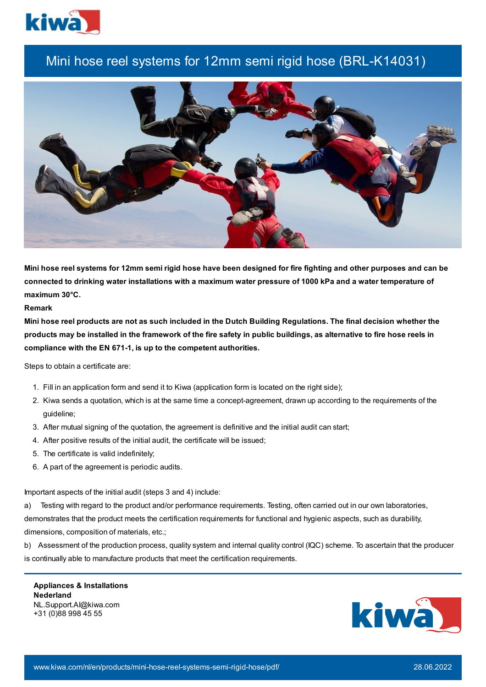

## Mini hose reel systems for 12mm semi rigid hose (BRL-K14031)



Mini hose reel systems for 12mm semi rigid hose have been designed for fire fighting and other purposes and can be connected to drinking water installations with a maximum water pressure of 1000 kPa and a water temperature of **maximum 30°C.**

## **Remark**

Mini hose reel products are not as such included in the Dutch Building Regulations. The final decision whether the products may be installed in the framework of the fire safety in public buildings, as alternative to fire hose reels in **compliance with the EN 671-1, is up to the competent authorities.**

Steps to obtain a certificate are:

- 1. Fill in an application form and send it to Kiwa (application form is located on the right side);
- 2. Kiwa sends a quotation, which is at the same time a concept-agreement, drawn up according to the requirements of the guideline;
- 3. After mutual signing of the quotation, the agreement is definitive and the initial audit can start;
- 4. After positive results of the initial audit, the certificate will be issued;
- 5. The certificate is valid indefinitely;
- 6. A part of the agreement is periodic audits.

Important aspects of the initial audit (steps 3 and 4) include:

a) Testing with regard to the product and/or performance requirements. Testing, often carried out in our own laboratories, demonstrates that the product meets the certification requirements for functional and hygienic aspects, such as durability, dimensions, composition of materials, etc.;

b) Assessment of the production process, quality system and internal quality control (IQC) scheme. To ascertain that the producer is continually able to manufacture products that meet the certification requirements.

**Appliances & Installations Nederland** NL.Support.AI@kiwa.com +31 (0)88 998 45 55